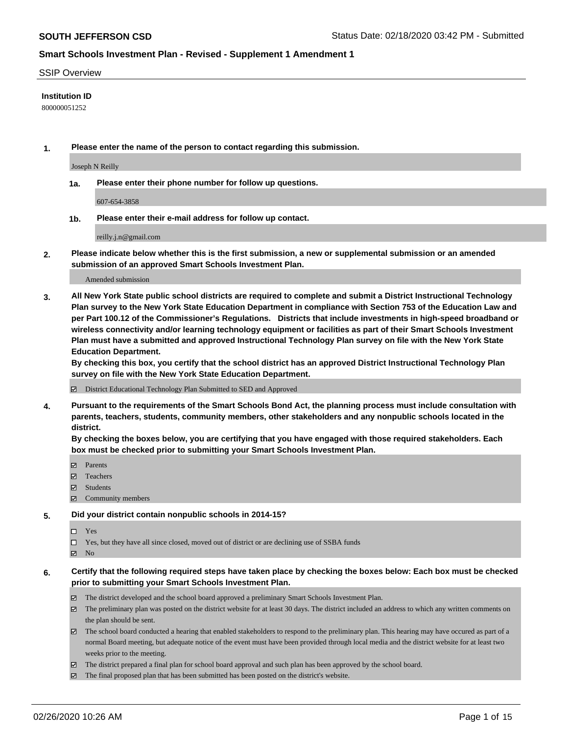#### SSIP Overview

#### **Institution ID**

800000051252

**1. Please enter the name of the person to contact regarding this submission.**

Joseph N Reilly

**1a. Please enter their phone number for follow up questions.**

607-654-3858

**1b. Please enter their e-mail address for follow up contact.**

reilly.j.n@gmail.com

**2. Please indicate below whether this is the first submission, a new or supplemental submission or an amended submission of an approved Smart Schools Investment Plan.**

#### Amended submission

**3. All New York State public school districts are required to complete and submit a District Instructional Technology Plan survey to the New York State Education Department in compliance with Section 753 of the Education Law and per Part 100.12 of the Commissioner's Regulations. Districts that include investments in high-speed broadband or wireless connectivity and/or learning technology equipment or facilities as part of their Smart Schools Investment Plan must have a submitted and approved Instructional Technology Plan survey on file with the New York State Education Department.** 

**By checking this box, you certify that the school district has an approved District Instructional Technology Plan survey on file with the New York State Education Department.**

District Educational Technology Plan Submitted to SED and Approved

**4. Pursuant to the requirements of the Smart Schools Bond Act, the planning process must include consultation with parents, teachers, students, community members, other stakeholders and any nonpublic schools located in the district.** 

**By checking the boxes below, you are certifying that you have engaged with those required stakeholders. Each box must be checked prior to submitting your Smart Schools Investment Plan.**

- **マ** Parents
- Teachers
- Students
- Community members

#### **5. Did your district contain nonpublic schools in 2014-15?**

 $\neg$  Yes

Yes, but they have all since closed, moved out of district or are declining use of SSBA funds

**Z** No

#### **6. Certify that the following required steps have taken place by checking the boxes below: Each box must be checked prior to submitting your Smart Schools Investment Plan.**

- The district developed and the school board approved a preliminary Smart Schools Investment Plan.
- $\boxtimes$  The preliminary plan was posted on the district website for at least 30 days. The district included an address to which any written comments on the plan should be sent.
- $\boxtimes$  The school board conducted a hearing that enabled stakeholders to respond to the preliminary plan. This hearing may have occured as part of a normal Board meeting, but adequate notice of the event must have been provided through local media and the district website for at least two weeks prior to the meeting.
- The district prepared a final plan for school board approval and such plan has been approved by the school board.
- $\boxtimes$  The final proposed plan that has been submitted has been posted on the district's website.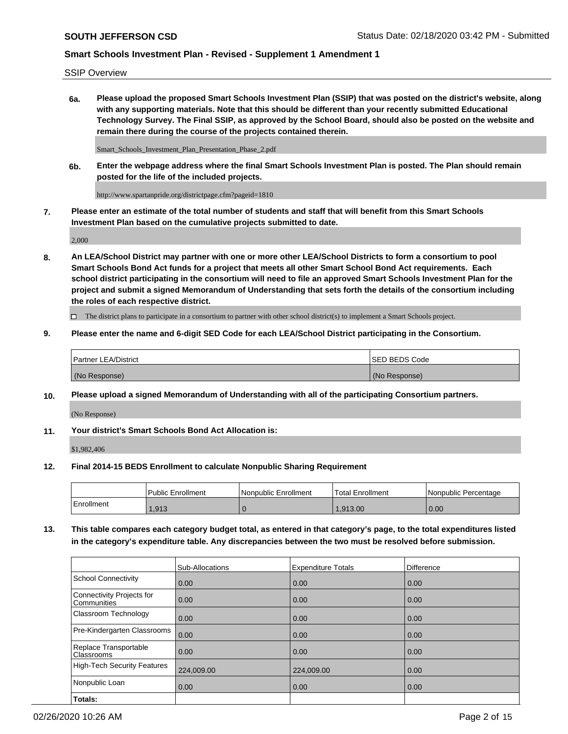SSIP Overview

**6a. Please upload the proposed Smart Schools Investment Plan (SSIP) that was posted on the district's website, along with any supporting materials. Note that this should be different than your recently submitted Educational Technology Survey. The Final SSIP, as approved by the School Board, should also be posted on the website and remain there during the course of the projects contained therein.**

Smart\_Schools\_Investment\_Plan\_Presentation\_Phase\_2.pdf

**6b. Enter the webpage address where the final Smart Schools Investment Plan is posted. The Plan should remain posted for the life of the included projects.**

http://www.spartanpride.org/districtpage.cfm?pageid=1810

**7. Please enter an estimate of the total number of students and staff that will benefit from this Smart Schools Investment Plan based on the cumulative projects submitted to date.**

2,000

**8. An LEA/School District may partner with one or more other LEA/School Districts to form a consortium to pool Smart Schools Bond Act funds for a project that meets all other Smart School Bond Act requirements. Each school district participating in the consortium will need to file an approved Smart Schools Investment Plan for the project and submit a signed Memorandum of Understanding that sets forth the details of the consortium including the roles of each respective district.**

 $\Box$  The district plans to participate in a consortium to partner with other school district(s) to implement a Smart Schools project.

#### **9. Please enter the name and 6-digit SED Code for each LEA/School District participating in the Consortium.**

| Partner LEA/District | ISED BEDS Code |
|----------------------|----------------|
| (No Response)        | (No Response)  |

### **10. Please upload a signed Memorandum of Understanding with all of the participating Consortium partners.**

(No Response)

### **11. Your district's Smart Schools Bond Act Allocation is:**

\$1,982,406

#### **12. Final 2014-15 BEDS Enrollment to calculate Nonpublic Sharing Requirement**

|            | Public Enrollment | Nonpublic Enrollment | Total Enrollment | l Nonpublic Percentage |
|------------|-------------------|----------------------|------------------|------------------------|
| Enrollment | .913              |                      | .913.00          | 0.00                   |

**13. This table compares each category budget total, as entered in that category's page, to the total expenditures listed in the category's expenditure table. Any discrepancies between the two must be resolved before submission.**

|                                                 | Sub-Allocations | <b>Expenditure Totals</b> | Difference |
|-------------------------------------------------|-----------------|---------------------------|------------|
| <b>School Connectivity</b>                      | 0.00            | 0.00                      | 0.00       |
| <b>Connectivity Projects for</b><br>Communities | 0.00            | 0.00                      | 0.00       |
| Classroom Technology                            | 0.00            | 0.00                      | 0.00       |
| Pre-Kindergarten Classrooms                     | 0.00            | 0.00                      | 0.00       |
| Replace Transportable<br>Classrooms             | 0.00            | 0.00                      | 0.00       |
| <b>High-Tech Security Features</b>              | 224,009.00      | 224,009.00                | 0.00       |
| Nonpublic Loan                                  | 0.00            | 0.00                      | 0.00       |
| Totals:                                         |                 |                           |            |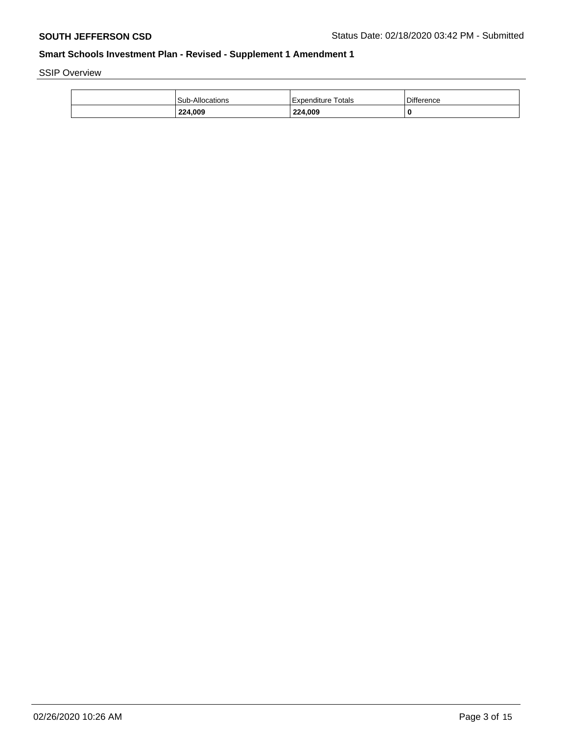SSIP Overview

| 224,009                | 224,009            |                   |
|------------------------|--------------------|-------------------|
| <b>Sub-Allocations</b> | Expenditure Totals | <b>Difference</b> |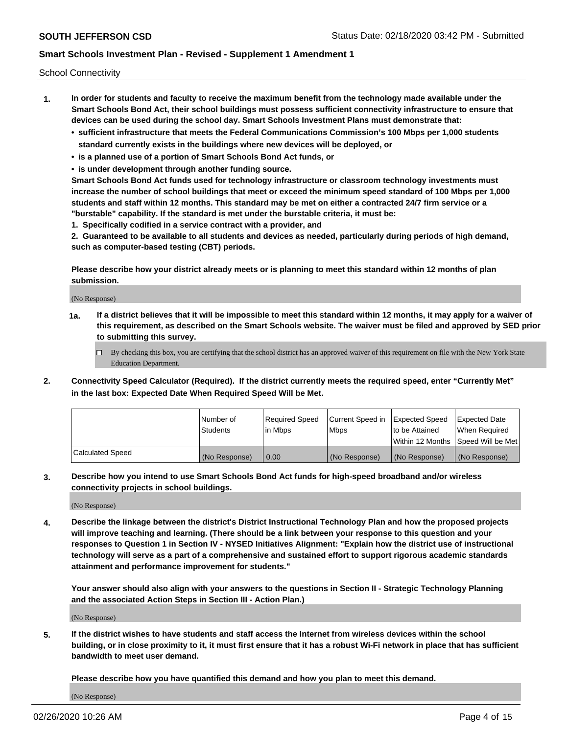School Connectivity

- **1. In order for students and faculty to receive the maximum benefit from the technology made available under the Smart Schools Bond Act, their school buildings must possess sufficient connectivity infrastructure to ensure that devices can be used during the school day. Smart Schools Investment Plans must demonstrate that:**
	- **• sufficient infrastructure that meets the Federal Communications Commission's 100 Mbps per 1,000 students standard currently exists in the buildings where new devices will be deployed, or**
	- **• is a planned use of a portion of Smart Schools Bond Act funds, or**
	- **• is under development through another funding source.**

**Smart Schools Bond Act funds used for technology infrastructure or classroom technology investments must increase the number of school buildings that meet or exceed the minimum speed standard of 100 Mbps per 1,000 students and staff within 12 months. This standard may be met on either a contracted 24/7 firm service or a "burstable" capability. If the standard is met under the burstable criteria, it must be:**

**1. Specifically codified in a service contract with a provider, and**

**2. Guaranteed to be available to all students and devices as needed, particularly during periods of high demand, such as computer-based testing (CBT) periods.**

**Please describe how your district already meets or is planning to meet this standard within 12 months of plan submission.**

(No Response)

**1a. If a district believes that it will be impossible to meet this standard within 12 months, it may apply for a waiver of this requirement, as described on the Smart Schools website. The waiver must be filed and approved by SED prior to submitting this survey.**

 $\Box$  By checking this box, you are certifying that the school district has an approved waiver of this requirement on file with the New York State Education Department.

**2. Connectivity Speed Calculator (Required). If the district currently meets the required speed, enter "Currently Met" in the last box: Expected Date When Required Speed Will be Met.**

|                  | l Number of     | Required Speed | Current Speed in | Expected Speed  | Expected Date                           |
|------------------|-----------------|----------------|------------------|-----------------|-----------------------------------------|
|                  | <b>Students</b> | In Mbps        | l Mbps           | to be Attained  | When Required                           |
|                  |                 |                |                  |                 | l Within 12 Months ISpeed Will be Met l |
| Calculated Speed | (No Response)   | 0.00           | (No Response)    | l (No Response) | l (No Response)                         |

**3. Describe how you intend to use Smart Schools Bond Act funds for high-speed broadband and/or wireless connectivity projects in school buildings.**

(No Response)

**4. Describe the linkage between the district's District Instructional Technology Plan and how the proposed projects will improve teaching and learning. (There should be a link between your response to this question and your responses to Question 1 in Section IV - NYSED Initiatives Alignment: "Explain how the district use of instructional technology will serve as a part of a comprehensive and sustained effort to support rigorous academic standards attainment and performance improvement for students."** 

**Your answer should also align with your answers to the questions in Section II - Strategic Technology Planning and the associated Action Steps in Section III - Action Plan.)**

(No Response)

**5. If the district wishes to have students and staff access the Internet from wireless devices within the school building, or in close proximity to it, it must first ensure that it has a robust Wi-Fi network in place that has sufficient bandwidth to meet user demand.**

**Please describe how you have quantified this demand and how you plan to meet this demand.**

(No Response)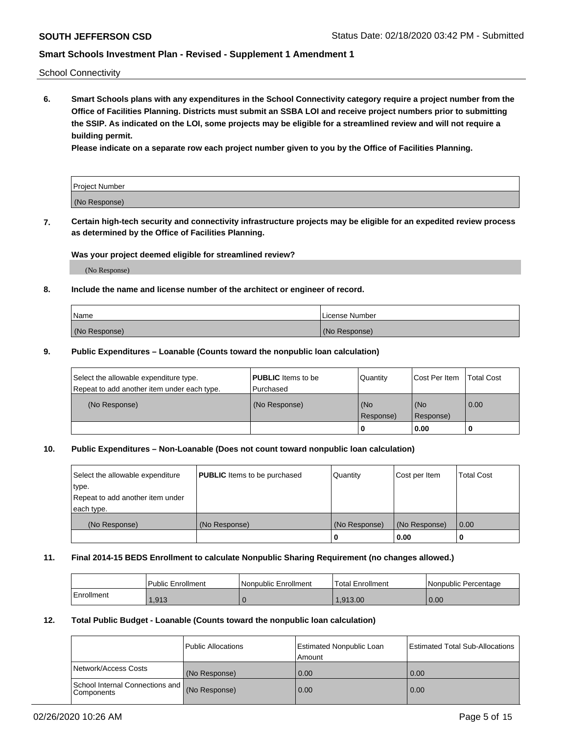School Connectivity

**6. Smart Schools plans with any expenditures in the School Connectivity category require a project number from the Office of Facilities Planning. Districts must submit an SSBA LOI and receive project numbers prior to submitting the SSIP. As indicated on the LOI, some projects may be eligible for a streamlined review and will not require a building permit.**

**Please indicate on a separate row each project number given to you by the Office of Facilities Planning.**

| Project Number |  |
|----------------|--|
| (No Response)  |  |

**7. Certain high-tech security and connectivity infrastructure projects may be eligible for an expedited review process as determined by the Office of Facilities Planning.**

### **Was your project deemed eligible for streamlined review?**

(No Response)

### **8. Include the name and license number of the architect or engineer of record.**

| Name          | License Number |
|---------------|----------------|
| (No Response) | (No Response)  |

#### **9. Public Expenditures – Loanable (Counts toward the nonpublic loan calculation)**

| Select the allowable expenditure type.<br>Repeat to add another item under each type. | <b>PUBLIC</b> Items to be<br>l Purchased | Quantity         | l Cost Per Item  | <b>Total Cost</b> |
|---------------------------------------------------------------------------------------|------------------------------------------|------------------|------------------|-------------------|
| (No Response)                                                                         | (No Response)                            | (No<br>Response) | (No<br>Response) | 0.00              |
|                                                                                       |                                          | 0                | 0.00             |                   |

# **10. Public Expenditures – Non-Loanable (Does not count toward nonpublic loan calculation)**

| Select the allowable expenditure<br>type.<br>Repeat to add another item under<br>each type. | <b>PUBLIC</b> Items to be purchased | Quantity      | Cost per Item | <b>Total Cost</b> |
|---------------------------------------------------------------------------------------------|-------------------------------------|---------------|---------------|-------------------|
| (No Response)                                                                               | (No Response)                       | (No Response) | (No Response) | 0.00              |
|                                                                                             |                                     |               | 0.00          |                   |

#### **11. Final 2014-15 BEDS Enrollment to calculate Nonpublic Sharing Requirement (no changes allowed.)**

|            | Public Enrollment | Nonpublic Enrollment | 'Total Enrollment | l Nonpublic Percentage |
|------------|-------------------|----------------------|-------------------|------------------------|
| Enrollment | .913              |                      | .913.00           | 0.00                   |

#### **12. Total Public Budget - Loanable (Counts toward the nonpublic loan calculation)**

|                                                      | Public Allocations | <b>Estimated Nonpublic Loan</b><br>Amount | Estimated Total Sub-Allocations |
|------------------------------------------------------|--------------------|-------------------------------------------|---------------------------------|
| Network/Access Costs                                 | (No Response)      | 0.00                                      | 0.00                            |
| School Internal Connections and<br><b>Components</b> | (No Response)      | 0.00                                      | 0.00                            |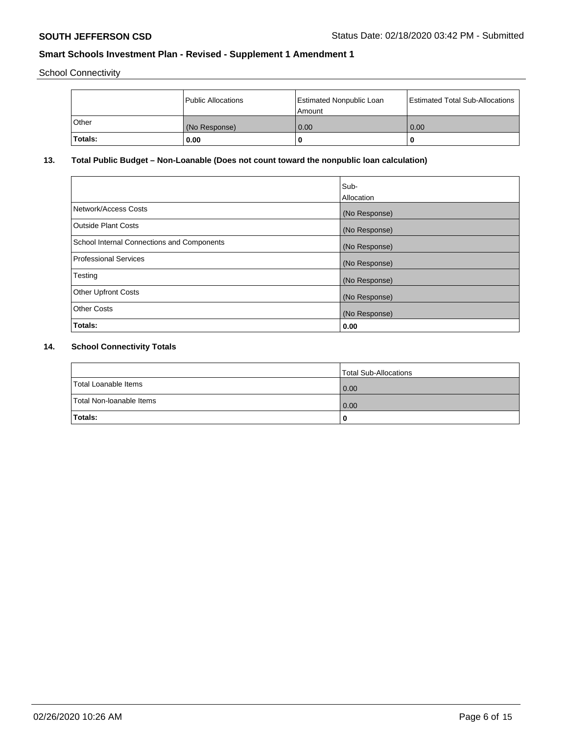School Connectivity

|              | <b>Public Allocations</b> | <b>Estimated Nonpublic Loan</b><br>l Amount | <b>Estimated Total Sub-Allocations</b> |
|--------------|---------------------------|---------------------------------------------|----------------------------------------|
| <b>Other</b> | (No Response)             | 0.00                                        | 0.00                                   |
| Totals:      | 0.00                      | 0                                           | ш                                      |

# **13. Total Public Budget – Non-Loanable (Does not count toward the nonpublic loan calculation)**

| Sub-<br>Allocation |
|--------------------|
| (No Response)      |
| (No Response)      |
| (No Response)      |
| (No Response)      |
| (No Response)      |
| (No Response)      |
| (No Response)      |
| 0.00               |
|                    |

# **14. School Connectivity Totals**

|                          | Total Sub-Allocations |
|--------------------------|-----------------------|
| Total Loanable Items     | 0.00                  |
| Total Non-Ioanable Items | 0.00                  |
| Totals:                  | 0                     |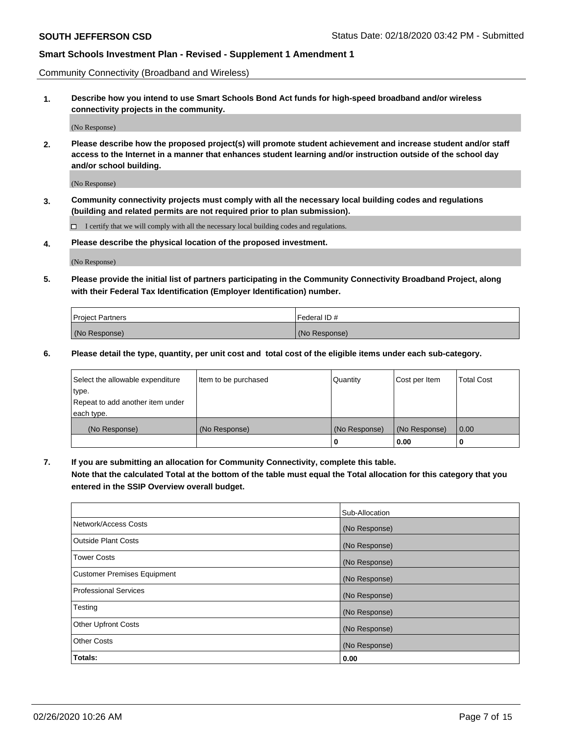Community Connectivity (Broadband and Wireless)

**1. Describe how you intend to use Smart Schools Bond Act funds for high-speed broadband and/or wireless connectivity projects in the community.**

(No Response)

**2. Please describe how the proposed project(s) will promote student achievement and increase student and/or staff access to the Internet in a manner that enhances student learning and/or instruction outside of the school day and/or school building.**

(No Response)

**3. Community connectivity projects must comply with all the necessary local building codes and regulations (building and related permits are not required prior to plan submission).**

 $\Box$  I certify that we will comply with all the necessary local building codes and regulations.

**4. Please describe the physical location of the proposed investment.**

(No Response)

**5. Please provide the initial list of partners participating in the Community Connectivity Broadband Project, along with their Federal Tax Identification (Employer Identification) number.**

| <b>Project Partners</b> | l Federal ID # |
|-------------------------|----------------|
| (No Response)           | (No Response)  |

**6. Please detail the type, quantity, per unit cost and total cost of the eligible items under each sub-category.**

| Select the allowable expenditure | Item to be purchased | Quantity      | Cost per Item | <b>Total Cost</b> |
|----------------------------------|----------------------|---------------|---------------|-------------------|
| type.                            |                      |               |               |                   |
| Repeat to add another item under |                      |               |               |                   |
| each type.                       |                      |               |               |                   |
| (No Response)                    | (No Response)        | (No Response) | (No Response) | 0.00              |
|                                  |                      | U             | 0.00          |                   |

**7. If you are submitting an allocation for Community Connectivity, complete this table.**

**Note that the calculated Total at the bottom of the table must equal the Total allocation for this category that you entered in the SSIP Overview overall budget.**

|                                    | Sub-Allocation |
|------------------------------------|----------------|
| Network/Access Costs               | (No Response)  |
| Outside Plant Costs                | (No Response)  |
| <b>Tower Costs</b>                 | (No Response)  |
| <b>Customer Premises Equipment</b> | (No Response)  |
| <b>Professional Services</b>       | (No Response)  |
| Testing                            | (No Response)  |
| <b>Other Upfront Costs</b>         | (No Response)  |
| <b>Other Costs</b>                 | (No Response)  |
| Totals:                            | 0.00           |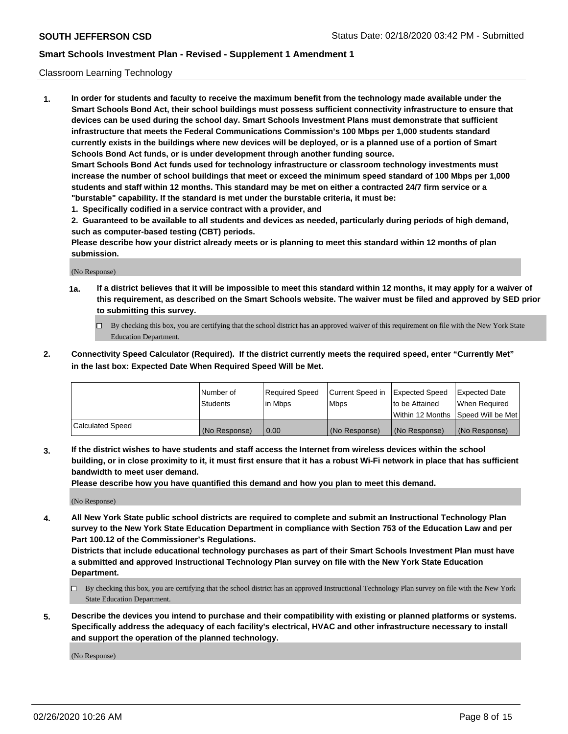### Classroom Learning Technology

**1. In order for students and faculty to receive the maximum benefit from the technology made available under the Smart Schools Bond Act, their school buildings must possess sufficient connectivity infrastructure to ensure that devices can be used during the school day. Smart Schools Investment Plans must demonstrate that sufficient infrastructure that meets the Federal Communications Commission's 100 Mbps per 1,000 students standard currently exists in the buildings where new devices will be deployed, or is a planned use of a portion of Smart Schools Bond Act funds, or is under development through another funding source. Smart Schools Bond Act funds used for technology infrastructure or classroom technology investments must increase the number of school buildings that meet or exceed the minimum speed standard of 100 Mbps per 1,000 students and staff within 12 months. This standard may be met on either a contracted 24/7 firm service or a**

- **"burstable" capability. If the standard is met under the burstable criteria, it must be:**
- **1. Specifically codified in a service contract with a provider, and**

**2. Guaranteed to be available to all students and devices as needed, particularly during periods of high demand, such as computer-based testing (CBT) periods.**

**Please describe how your district already meets or is planning to meet this standard within 12 months of plan submission.**

(No Response)

- **1a. If a district believes that it will be impossible to meet this standard within 12 months, it may apply for a waiver of this requirement, as described on the Smart Schools website. The waiver must be filed and approved by SED prior to submitting this survey.**
	- By checking this box, you are certifying that the school district has an approved waiver of this requirement on file with the New York State Education Department.
- **2. Connectivity Speed Calculator (Required). If the district currently meets the required speed, enter "Currently Met" in the last box: Expected Date When Required Speed Will be Met.**

|                  | l Number of     | Required Speed | Current Speed in | <b>Expected Speed</b> | <b>Expected Date</b>                |
|------------------|-----------------|----------------|------------------|-----------------------|-------------------------------------|
|                  | <b>Students</b> | l in Mbps      | l Mbps           | to be Attained        | When Required                       |
|                  |                 |                |                  |                       | Within 12 Months  Speed Will be Met |
| Calculated Speed | (No Response)   | 0.00           | (No Response)    | l (No Response)       | (No Response)                       |

**3. If the district wishes to have students and staff access the Internet from wireless devices within the school building, or in close proximity to it, it must first ensure that it has a robust Wi-Fi network in place that has sufficient bandwidth to meet user demand.**

**Please describe how you have quantified this demand and how you plan to meet this demand.**

(No Response)

**4. All New York State public school districts are required to complete and submit an Instructional Technology Plan survey to the New York State Education Department in compliance with Section 753 of the Education Law and per Part 100.12 of the Commissioner's Regulations.**

**Districts that include educational technology purchases as part of their Smart Schools Investment Plan must have a submitted and approved Instructional Technology Plan survey on file with the New York State Education Department.**

- By checking this box, you are certifying that the school district has an approved Instructional Technology Plan survey on file with the New York State Education Department.
- **5. Describe the devices you intend to purchase and their compatibility with existing or planned platforms or systems. Specifically address the adequacy of each facility's electrical, HVAC and other infrastructure necessary to install and support the operation of the planned technology.**

(No Response)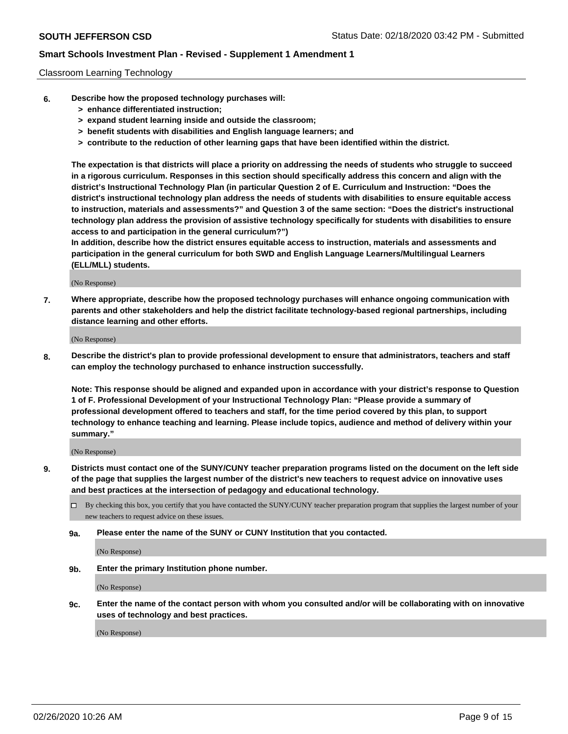#### Classroom Learning Technology

- **6. Describe how the proposed technology purchases will:**
	- **> enhance differentiated instruction;**
	- **> expand student learning inside and outside the classroom;**
	- **> benefit students with disabilities and English language learners; and**
	- **> contribute to the reduction of other learning gaps that have been identified within the district.**

**The expectation is that districts will place a priority on addressing the needs of students who struggle to succeed in a rigorous curriculum. Responses in this section should specifically address this concern and align with the district's Instructional Technology Plan (in particular Question 2 of E. Curriculum and Instruction: "Does the district's instructional technology plan address the needs of students with disabilities to ensure equitable access to instruction, materials and assessments?" and Question 3 of the same section: "Does the district's instructional technology plan address the provision of assistive technology specifically for students with disabilities to ensure access to and participation in the general curriculum?")**

**In addition, describe how the district ensures equitable access to instruction, materials and assessments and participation in the general curriculum for both SWD and English Language Learners/Multilingual Learners (ELL/MLL) students.**

(No Response)

**7. Where appropriate, describe how the proposed technology purchases will enhance ongoing communication with parents and other stakeholders and help the district facilitate technology-based regional partnerships, including distance learning and other efforts.**

(No Response)

**8. Describe the district's plan to provide professional development to ensure that administrators, teachers and staff can employ the technology purchased to enhance instruction successfully.**

**Note: This response should be aligned and expanded upon in accordance with your district's response to Question 1 of F. Professional Development of your Instructional Technology Plan: "Please provide a summary of professional development offered to teachers and staff, for the time period covered by this plan, to support technology to enhance teaching and learning. Please include topics, audience and method of delivery within your summary."**

(No Response)

- **9. Districts must contact one of the SUNY/CUNY teacher preparation programs listed on the document on the left side of the page that supplies the largest number of the district's new teachers to request advice on innovative uses and best practices at the intersection of pedagogy and educational technology.**
	- By checking this box, you certify that you have contacted the SUNY/CUNY teacher preparation program that supplies the largest number of your new teachers to request advice on these issues.
	- **9a. Please enter the name of the SUNY or CUNY Institution that you contacted.**

(No Response)

**9b. Enter the primary Institution phone number.**

(No Response)

**9c. Enter the name of the contact person with whom you consulted and/or will be collaborating with on innovative uses of technology and best practices.**

(No Response)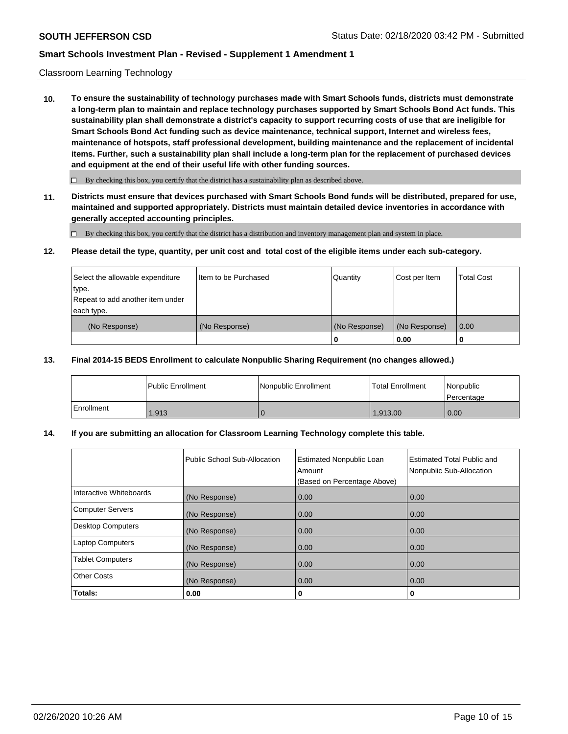#### Classroom Learning Technology

**10. To ensure the sustainability of technology purchases made with Smart Schools funds, districts must demonstrate a long-term plan to maintain and replace technology purchases supported by Smart Schools Bond Act funds. This sustainability plan shall demonstrate a district's capacity to support recurring costs of use that are ineligible for Smart Schools Bond Act funding such as device maintenance, technical support, Internet and wireless fees, maintenance of hotspots, staff professional development, building maintenance and the replacement of incidental items. Further, such a sustainability plan shall include a long-term plan for the replacement of purchased devices and equipment at the end of their useful life with other funding sources.**

 $\Box$  By checking this box, you certify that the district has a sustainability plan as described above.

**11. Districts must ensure that devices purchased with Smart Schools Bond funds will be distributed, prepared for use, maintained and supported appropriately. Districts must maintain detailed device inventories in accordance with generally accepted accounting principles.**

By checking this box, you certify that the district has a distribution and inventory management plan and system in place.

#### **12. Please detail the type, quantity, per unit cost and total cost of the eligible items under each sub-category.**

| Select the allowable expenditure<br>type.<br>Repeat to add another item under | Item to be Purchased | Quantity      | Cost per Item | <b>Total Cost</b> |
|-------------------------------------------------------------------------------|----------------------|---------------|---------------|-------------------|
| each type.<br>(No Response)                                                   | (No Response)        | (No Response) | (No Response) | 0.00              |
|                                                                               |                      | 0             | 0.00          |                   |

#### **13. Final 2014-15 BEDS Enrollment to calculate Nonpublic Sharing Requirement (no changes allowed.)**

|            | l Public Enrollment | <b>INonpublic Enrollment</b> | <b>Total Enrollment</b> | Nonpublic<br>l Percentage |
|------------|---------------------|------------------------------|-------------------------|---------------------------|
| Enrollment | 1,913               |                              | 1.913.00                | 0.00                      |

### **14. If you are submitting an allocation for Classroom Learning Technology complete this table.**

|                         | Public School Sub-Allocation | <b>Estimated Nonpublic Loan</b><br>Amount<br>(Based on Percentage Above) | Estimated Total Public and<br>Nonpublic Sub-Allocation |
|-------------------------|------------------------------|--------------------------------------------------------------------------|--------------------------------------------------------|
| Interactive Whiteboards | (No Response)                | 0.00                                                                     | 0.00                                                   |
| Computer Servers        | (No Response)                | 0.00                                                                     | 0.00                                                   |
| Desktop Computers       | (No Response)                | 0.00                                                                     | 0.00                                                   |
| <b>Laptop Computers</b> | (No Response)                | 0.00                                                                     | 0.00                                                   |
| <b>Tablet Computers</b> | (No Response)                | 0.00                                                                     | 0.00                                                   |
| Other Costs             | (No Response)                | 0.00                                                                     | 0.00                                                   |
| Totals:                 | 0.00                         | 0                                                                        | 0                                                      |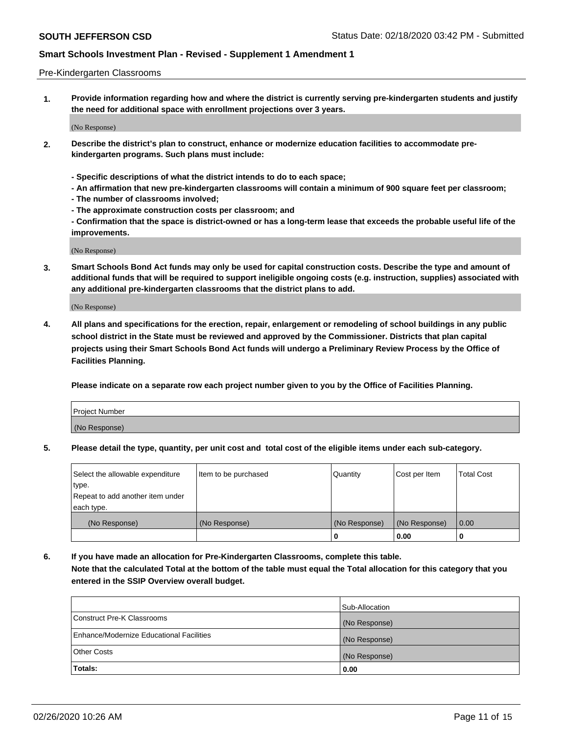#### Pre-Kindergarten Classrooms

**1. Provide information regarding how and where the district is currently serving pre-kindergarten students and justify the need for additional space with enrollment projections over 3 years.**

(No Response)

- **2. Describe the district's plan to construct, enhance or modernize education facilities to accommodate prekindergarten programs. Such plans must include:**
	- **Specific descriptions of what the district intends to do to each space;**
	- **An affirmation that new pre-kindergarten classrooms will contain a minimum of 900 square feet per classroom;**
	- **The number of classrooms involved;**
	- **The approximate construction costs per classroom; and**
	- **Confirmation that the space is district-owned or has a long-term lease that exceeds the probable useful life of the improvements.**

(No Response)

**3. Smart Schools Bond Act funds may only be used for capital construction costs. Describe the type and amount of additional funds that will be required to support ineligible ongoing costs (e.g. instruction, supplies) associated with any additional pre-kindergarten classrooms that the district plans to add.**

(No Response)

**4. All plans and specifications for the erection, repair, enlargement or remodeling of school buildings in any public school district in the State must be reviewed and approved by the Commissioner. Districts that plan capital projects using their Smart Schools Bond Act funds will undergo a Preliminary Review Process by the Office of Facilities Planning.**

**Please indicate on a separate row each project number given to you by the Office of Facilities Planning.**

| Project Number |  |
|----------------|--|
| (No Response)  |  |
|                |  |

**5. Please detail the type, quantity, per unit cost and total cost of the eligible items under each sub-category.**

| Select the allowable expenditure | Item to be purchased | Quantity      | Cost per Item | <b>Total Cost</b> |
|----------------------------------|----------------------|---------------|---------------|-------------------|
| type.                            |                      |               |               |                   |
| Repeat to add another item under |                      |               |               |                   |
| each type.                       |                      |               |               |                   |
| (No Response)                    | (No Response)        | (No Response) | (No Response) | 0.00              |
|                                  |                      | U             | 0.00          |                   |

**6. If you have made an allocation for Pre-Kindergarten Classrooms, complete this table. Note that the calculated Total at the bottom of the table must equal the Total allocation for this category that you entered in the SSIP Overview overall budget.**

|                                          | Sub-Allocation |
|------------------------------------------|----------------|
| Construct Pre-K Classrooms               | (No Response)  |
| Enhance/Modernize Educational Facilities | (No Response)  |
| <b>Other Costs</b>                       | (No Response)  |
| Totals:                                  | 0.00           |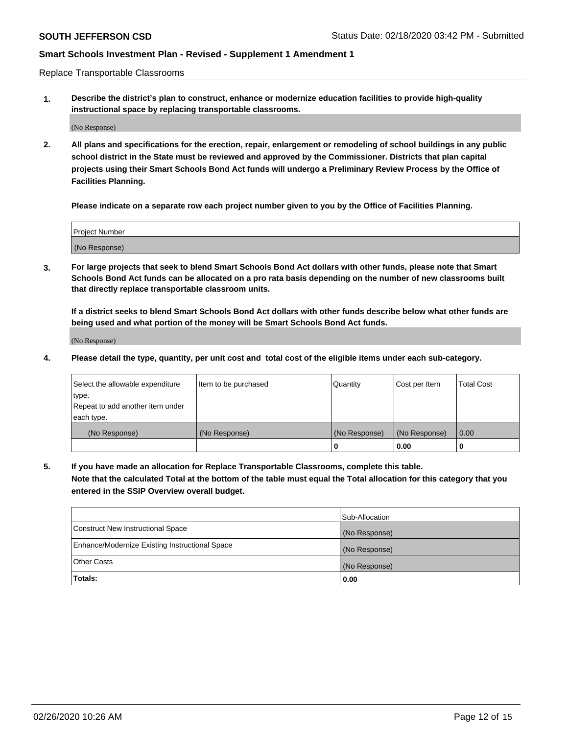Replace Transportable Classrooms

**1. Describe the district's plan to construct, enhance or modernize education facilities to provide high-quality instructional space by replacing transportable classrooms.**

(No Response)

**2. All plans and specifications for the erection, repair, enlargement or remodeling of school buildings in any public school district in the State must be reviewed and approved by the Commissioner. Districts that plan capital projects using their Smart Schools Bond Act funds will undergo a Preliminary Review Process by the Office of Facilities Planning.**

**Please indicate on a separate row each project number given to you by the Office of Facilities Planning.**

| Project Number |  |
|----------------|--|
|                |  |
| (No Response)  |  |

**3. For large projects that seek to blend Smart Schools Bond Act dollars with other funds, please note that Smart Schools Bond Act funds can be allocated on a pro rata basis depending on the number of new classrooms built that directly replace transportable classroom units.**

**If a district seeks to blend Smart Schools Bond Act dollars with other funds describe below what other funds are being used and what portion of the money will be Smart Schools Bond Act funds.**

(No Response)

**4. Please detail the type, quantity, per unit cost and total cost of the eligible items under each sub-category.**

| Select the allowable expenditure | Item to be purchased | Quantity      | Cost per Item | Total Cost |
|----------------------------------|----------------------|---------------|---------------|------------|
| ∣type.                           |                      |               |               |            |
| Repeat to add another item under |                      |               |               |            |
| each type.                       |                      |               |               |            |
| (No Response)                    | (No Response)        | (No Response) | (No Response) | 0.00       |
|                                  |                      | u             | 0.00          |            |

**5. If you have made an allocation for Replace Transportable Classrooms, complete this table. Note that the calculated Total at the bottom of the table must equal the Total allocation for this category that you entered in the SSIP Overview overall budget.**

|                                                | Sub-Allocation |
|------------------------------------------------|----------------|
| Construct New Instructional Space              | (No Response)  |
| Enhance/Modernize Existing Instructional Space | (No Response)  |
| Other Costs                                    | (No Response)  |
| Totals:                                        | 0.00           |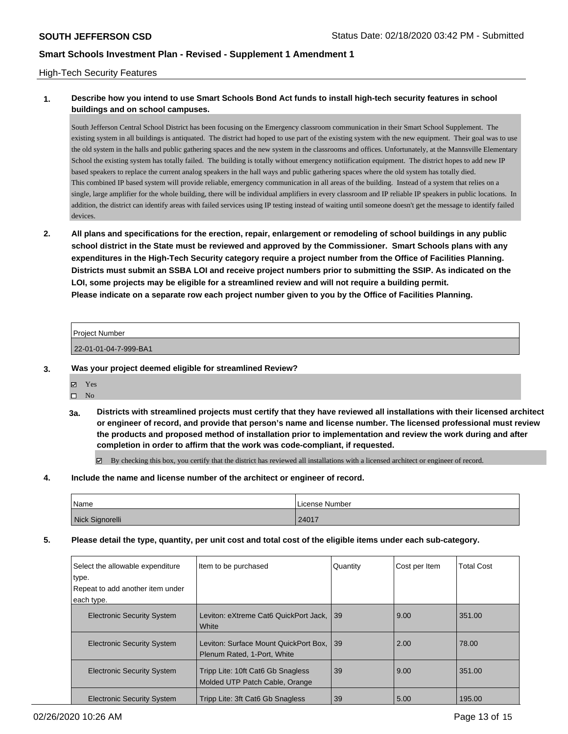### High-Tech Security Features

# **1. Describe how you intend to use Smart Schools Bond Act funds to install high-tech security features in school buildings and on school campuses.**

South Jefferson Central School District has been focusing on the Emergency classroom communication in their Smart School Supplement. The existing system in all buildings is antiquated. The district had hoped to use part of the existing system with the new equipment. Their goal was to use the old system in the halls and public gathering spaces and the new system in the classrooms and offices. Unfortunately, at the Mannsville Elementary School the existing system has totally failed. The building is totally without emergency notiification equipment. The district hopes to add new IP based speakers to replace the current analog speakers in the hall ways and public gathering spaces where the old system has totally died. This combined IP based system will provide reliable, emergency communication in all areas of the building. Instead of a system that relies on a single, large amplifier for the whole building, there will be individual amplifiers in every classroom and IP reliable IP speakers in public locations. In addition, the district can identify areas with failed services using IP testing instead of waiting until someone doesn't get the message to identify failed devices.

**2. All plans and specifications for the erection, repair, enlargement or remodeling of school buildings in any public school district in the State must be reviewed and approved by the Commissioner. Smart Schools plans with any expenditures in the High-Tech Security category require a project number from the Office of Facilities Planning. Districts must submit an SSBA LOI and receive project numbers prior to submitting the SSIP. As indicated on the LOI, some projects may be eligible for a streamlined review and will not require a building permit. Please indicate on a separate row each project number given to you by the Office of Facilities Planning.**

| Project Number        |  |
|-----------------------|--|
| 22-01-01-04-7-999-BA1 |  |

- **3. Was your project deemed eligible for streamlined Review?**
	- Yes
	- $\square$  No
	- **3a. Districts with streamlined projects must certify that they have reviewed all installations with their licensed architect or engineer of record, and provide that person's name and license number. The licensed professional must review the products and proposed method of installation prior to implementation and review the work during and after completion in order to affirm that the work was code-compliant, if requested.**

By checking this box, you certify that the district has reviewed all installations with a licensed architect or engineer of record.

### **4. Include the name and license number of the architect or engineer of record.**

| Name            | License Number |
|-----------------|----------------|
| Nick Signorelli | 24017          |

**5. Please detail the type, quantity, per unit cost and total cost of the eligible items under each sub-category.**

| Select the allowable expenditure<br>type. | Item to be purchased                                                 | Quantity | Cost per Item | <b>Total Cost</b> |
|-------------------------------------------|----------------------------------------------------------------------|----------|---------------|-------------------|
| Repeat to add another item under          |                                                                      |          |               |                   |
| each type.                                |                                                                      |          |               |                   |
| <b>Electronic Security System</b>         | Leviton: eXtreme Cat6 QuickPort Jack.<br>White                       | 39       | 9.00          | 351.00            |
| <b>Electronic Security System</b>         | Leviton: Surface Mount QuickPort Box.<br>Plenum Rated, 1-Port. White | l 39     | 2.00          | 78.00             |
| <b>Electronic Security System</b>         | Tripp Lite: 10ft Cat6 Gb Snagless<br>Molded UTP Patch Cable, Orange  | 39       | 9.00          | 351.00            |
| <b>Electronic Security System</b>         | Tripp Lite: 3ft Cat6 Gb Snagless                                     | 39       | 5.00          | 195.00            |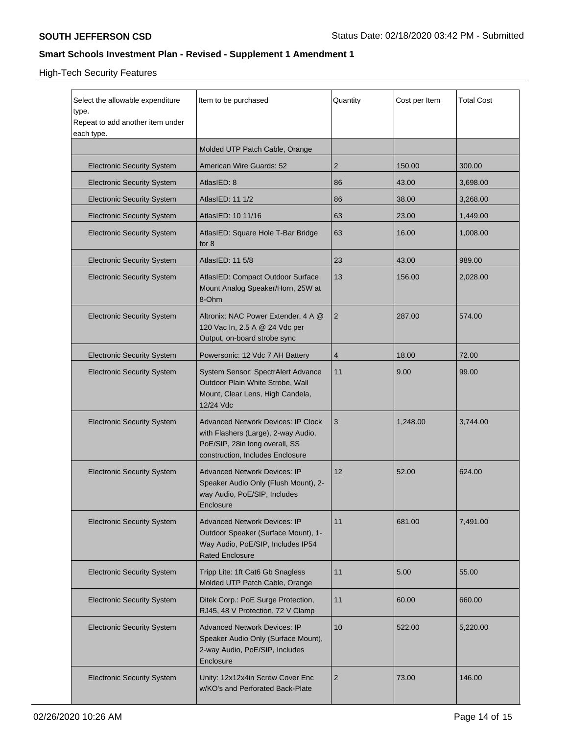# High-Tech Security Features

| Select the allowable expenditure<br>type.<br>Repeat to add another item under<br>each type. | Item to be purchased                                                                                                                                   | Quantity       | Cost per Item | <b>Total Cost</b> |
|---------------------------------------------------------------------------------------------|--------------------------------------------------------------------------------------------------------------------------------------------------------|----------------|---------------|-------------------|
|                                                                                             | Molded UTP Patch Cable, Orange                                                                                                                         |                |               |                   |
| <b>Electronic Security System</b>                                                           | American Wire Guards: 52                                                                                                                               | $\overline{2}$ | 150.00        | 300.00            |
| <b>Electronic Security System</b>                                                           | AtlasIED: 8                                                                                                                                            | 86             | 43.00         | 3,698.00          |
| <b>Electronic Security System</b>                                                           | AtlasIED: 11 1/2                                                                                                                                       | 86             | 38.00         | 3,268.00          |
| <b>Electronic Security System</b>                                                           | AtlasIED: 10 11/16                                                                                                                                     | 63             | 23.00         | 1,449.00          |
| <b>Electronic Security System</b>                                                           | AtlasIED: Square Hole T-Bar Bridge<br>for 8                                                                                                            | 63             | 16.00         | 1,008.00          |
| <b>Electronic Security System</b>                                                           | AtlasIED: 11 5/8                                                                                                                                       | 23             | 43.00         | 989.00            |
| <b>Electronic Security System</b>                                                           | AtlasIED: Compact Outdoor Surface<br>Mount Analog Speaker/Horn, 25W at<br>8-Ohm                                                                        | 13             | 156.00        | 2,028.00          |
| <b>Electronic Security System</b>                                                           | Altronix: NAC Power Extender, 4 A @<br>120 Vac In, 2.5 A @ 24 Vdc per<br>Output, on-board strobe sync                                                  | 2              | 287.00        | 574.00            |
| <b>Electronic Security System</b>                                                           | Powersonic: 12 Vdc 7 AH Battery                                                                                                                        | 4              | 18.00         | 72.00             |
| <b>Electronic Security System</b>                                                           | System Sensor: SpectrAlert Advance<br>Outdoor Plain White Strobe, Wall<br>Mount, Clear Lens, High Candela,<br>12/24 Vdc                                | 11             | 9.00          | 99.00             |
| <b>Electronic Security System</b>                                                           | <b>Advanced Network Devices: IP Clock</b><br>with Flashers (Large), 2-way Audio,<br>PoE/SIP, 28in long overall, SS<br>construction, Includes Enclosure | 3              | 1,248.00      | 3,744.00          |
| <b>Electronic Security System</b>                                                           | <b>Advanced Network Devices: IP</b><br>Speaker Audio Only (Flush Mount), 2-<br>way Audio, PoE/SIP, Includes<br>Enclosure                               | 12             | 52.00         | 624.00            |
| <b>Electronic Security System</b>                                                           | <b>Advanced Network Devices: IP</b><br>Outdoor Speaker (Surface Mount), 1-<br>Way Audio, PoE/SIP, Includes IP54<br><b>Rated Enclosure</b>              | 11             | 681.00        | 7,491.00          |
| <b>Electronic Security System</b>                                                           | Tripp Lite: 1ft Cat6 Gb Snagless<br>Molded UTP Patch Cable, Orange                                                                                     | 11             | 5.00          | 55.00             |
| <b>Electronic Security System</b>                                                           | Ditek Corp.: PoE Surge Protection,<br>RJ45, 48 V Protection, 72 V Clamp                                                                                | 11             | 60.00         | 660.00            |
| <b>Electronic Security System</b>                                                           | <b>Advanced Network Devices: IP</b><br>Speaker Audio Only (Surface Mount),<br>2-way Audio, PoE/SIP, Includes<br>Enclosure                              | 10             | 522.00        | 5,220.00          |
| <b>Electronic Security System</b>                                                           | Unity: 12x12x4in Screw Cover Enc<br>w/KO's and Perforated Back-Plate                                                                                   | $\sqrt{2}$     | 73.00         | 146.00            |